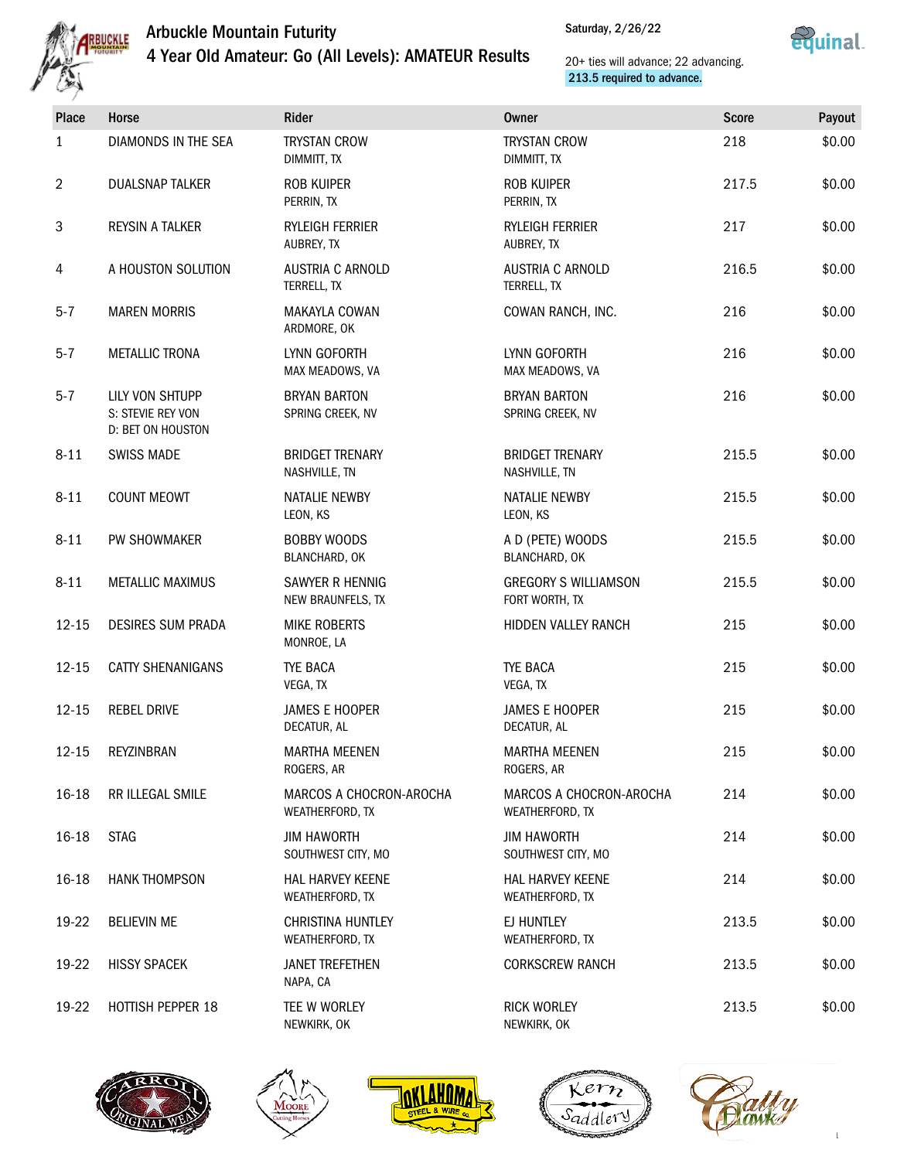



| <b>Place</b>   | <b>Horse</b>                                              | Rider                                       | <b>Owner</b>                                  | <b>Score</b> | Payout |
|----------------|-----------------------------------------------------------|---------------------------------------------|-----------------------------------------------|--------------|--------|
| 1              | DIAMONDS IN THE SEA                                       | <b>TRYSTAN CROW</b><br>DIMMITT, TX          | <b>TRYSTAN CROW</b><br>DIMMITT, TX            | 218          | \$0.00 |
| $\overline{2}$ | <b>DUALSNAP TALKER</b>                                    | <b>ROB KUIPER</b><br>PERRIN, TX             | <b>ROB KUIPER</b><br>PERRIN, TX               | 217.5        | \$0.00 |
| $\sqrt{3}$     | <b>REYSIN A TALKER</b>                                    | RYLEIGH FERRIER<br>AUBREY, TX               | RYLEIGH FERRIER<br>AUBREY, TX                 | 217          | \$0.00 |
| 4              | A HOUSTON SOLUTION                                        | AUSTRIA C ARNOLD<br>TERRELL, TX             | AUSTRIA C ARNOLD<br>TERRELL, TX               | 216.5        | \$0.00 |
| $5 - 7$        | <b>MAREN MORRIS</b>                                       | MAKAYLA COWAN<br>ARDMORE, OK                | COWAN RANCH, INC.                             | 216          | \$0.00 |
| $5 - 7$        | <b>METALLIC TRONA</b>                                     | LYNN GOFORTH<br>MAX MEADOWS, VA             | LYNN GOFORTH<br>MAX MEADOWS, VA               | 216          | \$0.00 |
| $5 - 7$        | LILY VON SHTUPP<br>S: STEVIE REY VON<br>D: BET ON HOUSTON | <b>BRYAN BARTON</b><br>SPRING CREEK, NV     | <b>BRYAN BARTON</b><br>SPRING CREEK, NV       | 216          | \$0.00 |
| $8 - 11$       | <b>SWISS MADE</b>                                         | <b>BRIDGET TRENARY</b><br>NASHVILLE, TN     | <b>BRIDGET TRENARY</b><br>NASHVILLE, TN       | 215.5        | \$0.00 |
| $8 - 11$       | <b>COUNT MEOWT</b>                                        | NATALIE NEWBY<br>LEON, KS                   | NATALIE NEWBY<br>LEON, KS                     | 215.5        | \$0.00 |
| $8 - 11$       | PW SHOWMAKER                                              | <b>BOBBY WOODS</b><br>BLANCHARD, OK         | A D (PETE) WOODS<br>BLANCHARD, OK             | 215.5        | \$0.00 |
| $8 - 11$       | <b>METALLIC MAXIMUS</b>                                   | SAWYER R HENNIG<br>NEW BRAUNFELS, TX        | <b>GREGORY S WILLIAMSON</b><br>FORT WORTH, TX | 215.5        | \$0.00 |
| $12 - 15$      | <b>DESIRES SUM PRADA</b>                                  | <b>MIKE ROBERTS</b><br>MONROE, LA           | HIDDEN VALLEY RANCH                           | 215          | \$0.00 |
| $12 - 15$      | <b>CATTY SHENANIGANS</b>                                  | <b>TYE BACA</b><br>VEGA, TX                 | <b>TYE BACA</b><br>VEGA, TX                   | 215          | \$0.00 |
| $12 - 15$      | <b>REBEL DRIVE</b>                                        | <b>JAMES E HOOPER</b><br>DECATUR, AL        | <b>JAMES E HOOPER</b><br>DECATUR, AL          | 215          | \$0.00 |
| $12 - 15$      | REYZINBRAN                                                | <b>MARTHA MEENEN</b><br>ROGERS, AR          | <b>MARTHA MEENEN</b><br>ROGERS, AR            | 215          | \$0.00 |
| 16-18          | RR ILLEGAL SMILE                                          | MARCOS A CHOCRON-AROCHA<br>WEATHERFORD, TX  | MARCOS A CHOCRON-AROCHA<br>WEATHERFORD, TX    | 214          | \$0.00 |
| 16-18          | <b>STAG</b>                                               | <b>JIM HAWORTH</b><br>SOUTHWEST CITY, MO    | <b>JIM HAWORTH</b><br>SOUTHWEST CITY, MO      | 214          | \$0.00 |
| 16-18          | <b>HANK THOMPSON</b>                                      | <b>HAL HARVEY KEENE</b><br>WEATHERFORD, TX  | <b>HAL HARVEY KEENE</b><br>WEATHERFORD, TX    | 214          | \$0.00 |
| 19-22          | <b>BELIEVIN ME</b>                                        | <b>CHRISTINA HUNTLEY</b><br>WEATHERFORD, TX | EJ HUNTLEY<br>WEATHERFORD, TX                 | 213.5        | \$0.00 |
| 19-22          | <b>HISSY SPACEK</b>                                       | <b>JANET TREFETHEN</b><br>NAPA, CA          | <b>CORKSCREW RANCH</b>                        | 213.5        | \$0.00 |
| 19-22          | HOTTISH PEPPER 18                                         | TEE W WORLEY<br>NEWKIRK, OK                 | <b>RICK WORLEY</b><br>NEWKIRK, OK             | 213.5        | \$0.00 |









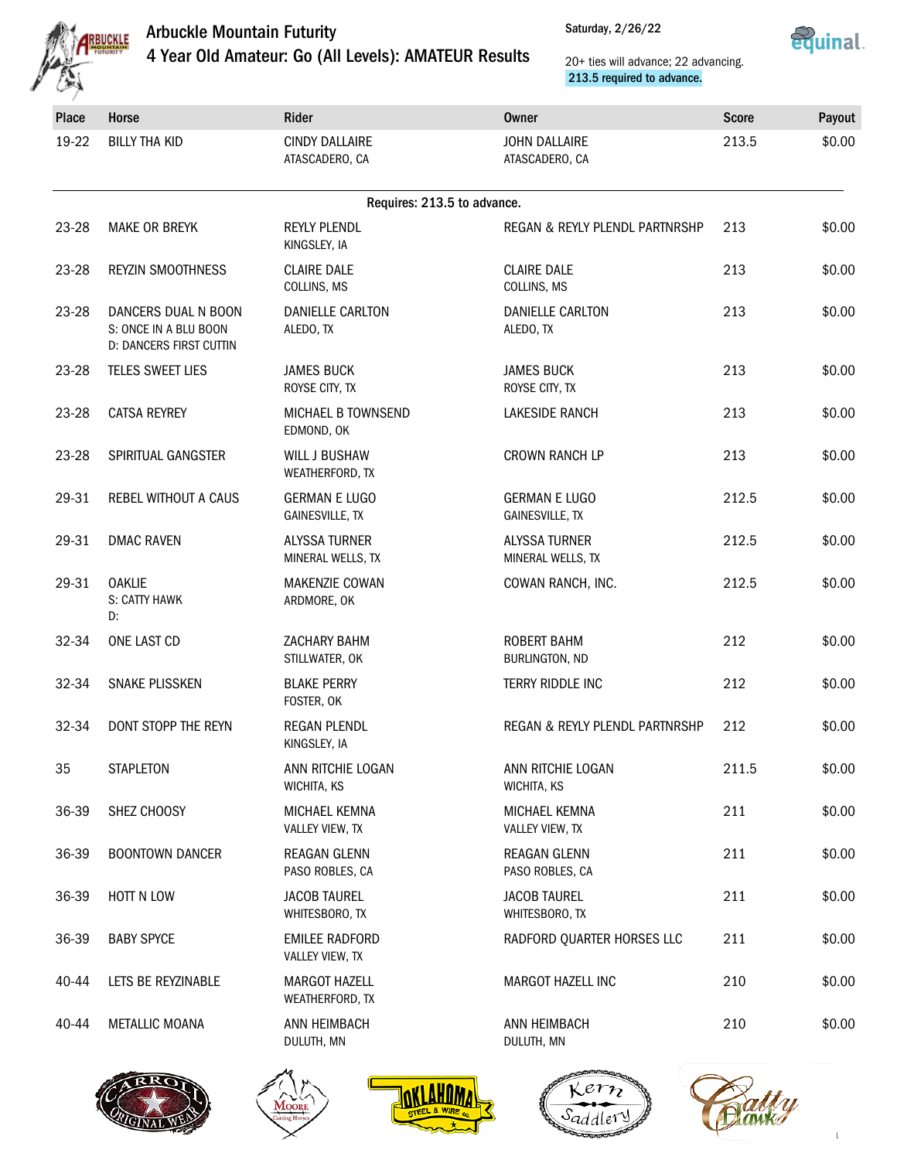



| Place     | Horse                                                                   | Rider                                          | Owner                                     | <b>Score</b> | Payout |
|-----------|-------------------------------------------------------------------------|------------------------------------------------|-------------------------------------------|--------------|--------|
| 19-22     | <b>BILLY THA KID</b>                                                    | <b>CINDY DALLAIRE</b><br>ATASCADERO, CA        | <b>JOHN DALLAIRE</b><br>ATASCADERO, CA    | 213.5        | \$0.00 |
|           |                                                                         | Requires: 213.5 to advance.                    |                                           |              |        |
| 23-28     | <b>MAKE OR BREYK</b>                                                    | <b>REYLY PLENDL</b><br>KINGSLEY, IA            | REGAN & REYLY PLENDL PARTNRSHP            | 213          | \$0.00 |
| 23-28     | <b>REYZIN SMOOTHNESS</b>                                                | <b>CLAIRE DALE</b><br>COLLINS, MS              | <b>CLAIRE DALE</b><br>COLLINS, MS         | 213          | \$0.00 |
| 23-28     | DANCERS DUAL N BOON<br>S: ONCE IN A BLU BOON<br>D: DANCERS FIRST CUTTIN | DANIELLE CARLTON<br>ALEDO, TX                  | DANIELLE CARLTON<br>ALEDO, TX             | 213          | \$0.00 |
| $23 - 28$ | TELES SWEET LIES                                                        | <b>JAMES BUCK</b><br>ROYSE CITY, TX            | <b>JAMES BUCK</b><br>ROYSE CITY, TX       | 213          | \$0.00 |
| 23-28     | <b>CATSA REYREY</b>                                                     | MICHAEL B TOWNSEND<br>EDMOND, OK               | <b>LAKESIDE RANCH</b>                     | 213          | \$0.00 |
| $23 - 28$ | SPIRITUAL GANGSTER                                                      | <b>WILL J BUSHAW</b><br>WEATHERFORD, TX        | <b>CROWN RANCH LP</b>                     | 213          | \$0.00 |
| 29-31     | REBEL WITHOUT A CAUS                                                    | <b>GERMAN E LUGO</b><br><b>GAINESVILLE, TX</b> | <b>GERMAN E LUGO</b><br>GAINESVILLE, TX   | 212.5        | \$0.00 |
| 29-31     | <b>DMAC RAVEN</b>                                                       | <b>ALYSSA TURNER</b><br>MINERAL WELLS, TX      | <b>ALYSSA TURNER</b><br>MINERAL WELLS, TX | 212.5        | \$0.00 |
| 29-31     | <b>OAKLIE</b><br>S: CATTY HAWK<br>D:                                    | MAKENZIE COWAN<br>ARDMORE, OK                  | COWAN RANCH, INC.                         | 212.5        | \$0.00 |
| 32-34     | ONE LAST CD                                                             | ZACHARY BAHM<br>STILLWATER, OK                 | <b>ROBERT BAHM</b><br>BURLINGTON, ND      | 212          | \$0.00 |
| 32-34     | SNAKE PLISSKEN                                                          | <b>BLAKE PERRY</b><br>FOSTER, OK               | TERRY RIDDLE INC                          | 212          | \$0.00 |
| 32-34     | DONT STOPP THE REYN                                                     | <b>REGAN PLENDL</b><br>KINGSLEY, IA            | REGAN & REYLY PLENDL PARTNRSHP            | 212          | \$0.00 |
| 35        | <b>STAPLETON</b>                                                        | ANN RITCHIE LOGAN<br>WICHITA, KS               | ANN RITCHIE LOGAN<br>WICHITA, KS          | 211.5        | \$0.00 |
| 36-39     | SHEZ CHOOSY                                                             | MICHAEL KEMNA<br>VALLEY VIEW, TX               | MICHAEL KEMNA<br>VALLEY VIEW, TX          | 211          | \$0.00 |
| 36-39     | <b>BOONTOWN DANCER</b>                                                  | <b>REAGAN GLENN</b><br>PASO ROBLES, CA         | <b>REAGAN GLENN</b><br>PASO ROBLES, CA    | 211          | \$0.00 |
| 36-39     | HOTT N LOW                                                              | <b>JACOB TAUREL</b><br>WHITESBORO, TX          | <b>JACOB TAUREL</b><br>WHITESBORO, TX     | 211          | \$0.00 |
| 36-39     | <b>BABY SPYCE</b>                                                       | <b>EMILEE RADFORD</b><br>VALLEY VIEW, TX       | RADFORD QUARTER HORSES LLC                | 211          | \$0.00 |
| 40-44     | LETS BE REYZINABLE                                                      | <b>MARGOT HAZELL</b><br>WEATHERFORD, TX        | MARGOT HAZELL INC                         | 210          | \$0.00 |
| 40-44     | <b>METALLIC MOANA</b>                                                   | ANN HEIMBACH<br>DULUTH, MN                     | ANN HEIMBACH<br>DULUTH, MN                | 210          | \$0.00 |
|           |                                                                         |                                                |                                           |              |        |









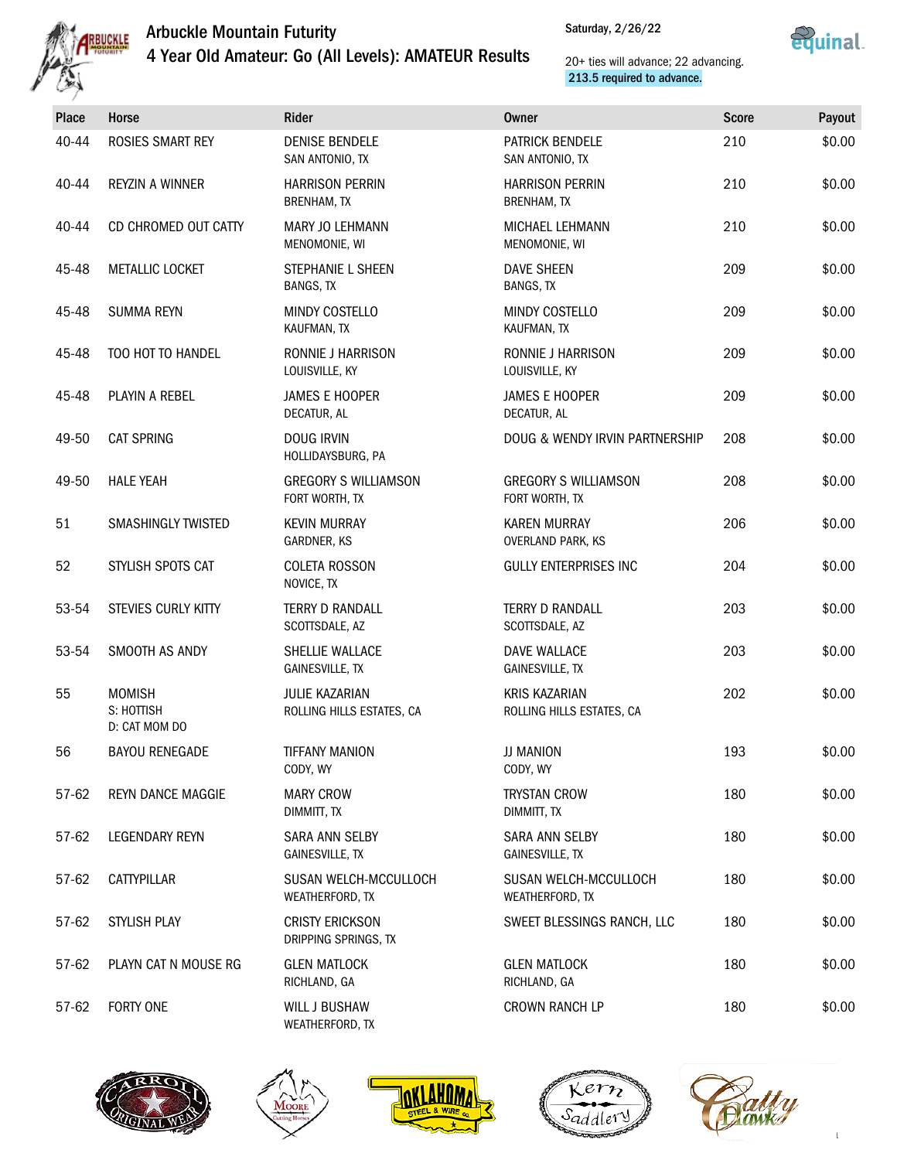



| Place | Horse                                        | Rider                                          | Owner                                             | <b>Score</b> | Payout |
|-------|----------------------------------------------|------------------------------------------------|---------------------------------------------------|--------------|--------|
| 40-44 | <b>ROSIES SMART REY</b>                      | <b>DENISE BENDELE</b><br>SAN ANTONIO, TX       | <b>PATRICK BENDELE</b><br>SAN ANTONIO, TX         | 210          | \$0.00 |
| 40-44 | REYZIN A WINNER                              | <b>HARRISON PERRIN</b><br><b>BRENHAM, TX</b>   | <b>HARRISON PERRIN</b><br><b>BRENHAM, TX</b>      | 210          | \$0.00 |
| 40-44 | CD CHROMED OUT CATTY                         | <b>MARY JO LEHMANN</b><br>MENOMONIE, WI        | <b>MICHAEL LEHMANN</b><br>MENOMONIE, WI           | 210          | \$0.00 |
| 45-48 | METALLIC LOCKET                              | STEPHANIE L SHEEN<br>BANGS, TX                 | <b>DAVE SHEEN</b><br><b>BANGS, TX</b>             | 209          | \$0.00 |
| 45-48 | <b>SUMMA REYN</b>                            | MINDY COSTELLO<br>KAUFMAN, TX                  | MINDY COSTELLO<br>KAUFMAN, TX                     | 209          | \$0.00 |
| 45-48 | TOO HOT TO HANDEL                            | <b>RONNIE J HARRISON</b><br>LOUISVILLE, KY     | RONNIE J HARRISON<br>LOUISVILLE, KY               | 209          | \$0.00 |
| 45-48 | PLAYIN A REBEL                               | <b>JAMES E HOOPER</b><br>DECATUR, AL           | <b>JAMES E HOOPER</b><br>DECATUR. AL              | 209          | \$0.00 |
| 49-50 | <b>CAT SPRING</b>                            | <b>DOUG IRVIN</b><br>HOLLIDAYSBURG, PA         | DOUG & WENDY IRVIN PARTNERSHIP                    | 208          | \$0.00 |
| 49-50 | <b>HALE YEAH</b>                             | <b>GREGORY S WILLIAMSON</b><br>FORT WORTH, TX  | <b>GREGORY S WILLIAMSON</b><br>FORT WORTH, TX     | 208          | \$0.00 |
| 51    | <b>SMASHINGLY TWISTED</b>                    | <b>KEVIN MURRAY</b><br>GARDNER, KS             | <b>KAREN MURRAY</b><br><b>OVERLAND PARK, KS</b>   | 206          | \$0.00 |
| 52    | STYLISH SPOTS CAT                            | <b>COLETA ROSSON</b><br>NOVICE, TX             | <b>GULLY ENTERPRISES INC</b>                      | 204          | \$0.00 |
| 53-54 | STEVIES CURLY KITTY                          | <b>TERRY D RANDALL</b><br>SCOTTSDALE, AZ       | <b>TERRY D RANDALL</b><br>SCOTTSDALE, AZ          | 203          | \$0.00 |
| 53-54 | SMOOTH AS ANDY                               | SHELLIE WALLACE<br><b>GAINESVILLE, TX</b>      | DAVE WALLACE<br><b>GAINESVILLE, TX</b>            | 203          | \$0.00 |
| 55    | <b>MOMISH</b><br>S: HOTTISH<br>D: CAT MOM DO | JULIE KAZARIAN<br>ROLLING HILLS ESTATES, CA    | <b>KRIS KAZARIAN</b><br>ROLLING HILLS ESTATES, CA | 202          | \$0.00 |
| 56    | <b>BAYOU RENEGADE</b>                        | <b>TIFFANY MANION</b><br>CODY, WY              | JJ MANION<br>CODY, WY                             | 193          | \$0.00 |
| 57-62 | <b>REYN DANCE MAGGIE</b>                     | <b>MARY CROW</b><br>DIMMITT, TX                | <b>TRYSTAN CROW</b><br>DIMMITT, TX                | 180          | \$0.00 |
| 57-62 | LEGENDARY REYN                               | SARA ANN SELBY<br><b>GAINESVILLE, TX</b>       | SARA ANN SELBY<br><b>GAINESVILLE, TX</b>          | 180          | \$0.00 |
| 57-62 | CATTYPILLAR                                  | SUSAN WELCH-MCCULLOCH<br>WEATHERFORD, TX       | SUSAN WELCH-MCCULLOCH<br>WEATHERFORD, TX          | 180          | \$0.00 |
| 57-62 | STYLISH PLAY                                 | <b>CRISTY ERICKSON</b><br>DRIPPING SPRINGS, TX | SWEET BLESSINGS RANCH, LLC                        | 180          | \$0.00 |
| 57-62 | PLAYN CAT N MOUSE RG                         | <b>GLEN MATLOCK</b><br>RICHLAND, GA            | <b>GLEN MATLOCK</b><br>RICHLAND, GA               | 180          | \$0.00 |
| 57-62 | FORTY ONE                                    | WILL J BUSHAW<br>WEATHERFORD, TX               | CROWN RANCH LP                                    | 180          | \$0.00 |









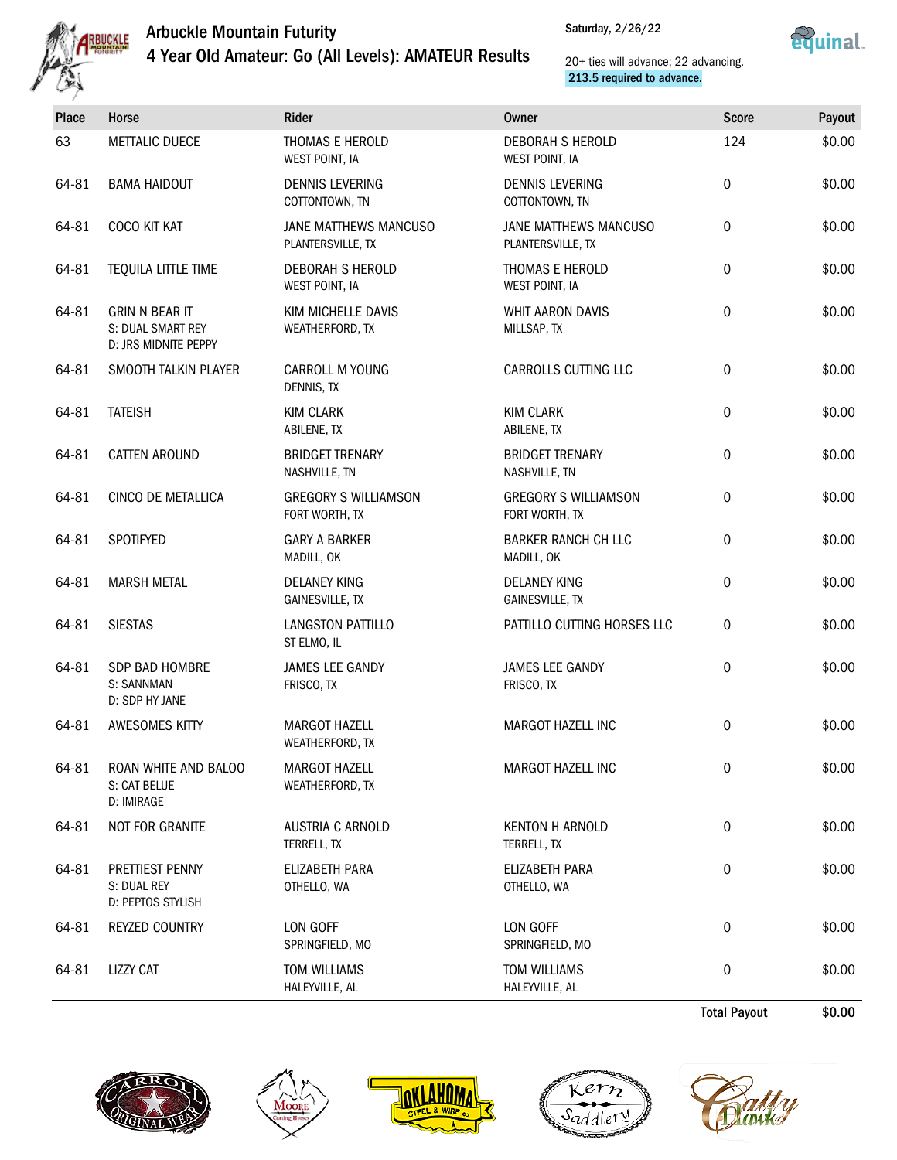



| Place | Horse                                                              | Rider                                         | <b>Owner</b>                                  | <b>Score</b>        | Payout |
|-------|--------------------------------------------------------------------|-----------------------------------------------|-----------------------------------------------|---------------------|--------|
| 63    | <b>METTALIC DUECE</b>                                              | THOMAS E HEROLD<br>WEST POINT, IA             | <b>DEBORAH S HEROLD</b><br>WEST POINT, IA     | 124                 | \$0.00 |
| 64-81 | <b>BAMA HAIDOUT</b>                                                | <b>DENNIS LEVERING</b><br>COTTONTOWN, TN      | <b>DENNIS LEVERING</b><br>COTTONTOWN, TN      | $\mathbf 0$         | \$0.00 |
| 64-81 | COCO KIT KAT                                                       | JANE MATTHEWS MANCUSO<br>PLANTERSVILLE, TX    | JANE MATTHEWS MANCUSO<br>PLANTERSVILLE, TX    | 0                   | \$0.00 |
| 64-81 | TEQUILA LITTLE TIME                                                | <b>DEBORAH S HEROLD</b><br>WEST POINT, IA     | THOMAS E HEROLD<br>WEST POINT, IA             | 0                   | \$0.00 |
| 64-81 | <b>GRIN N BEAR IT</b><br>S: DUAL SMART REY<br>D: JRS MIDNITE PEPPY | KIM MICHELLE DAVIS<br>WEATHERFORD, TX         | <b>WHIT AARON DAVIS</b><br>MILLSAP, TX        | 0                   | \$0.00 |
| 64-81 | SMOOTH TALKIN PLAYER                                               | <b>CARROLL M YOUNG</b><br>DENNIS, TX          | CARROLLS CUTTING LLC                          | $\boldsymbol{0}$    | \$0.00 |
| 64-81 | <b>TATEISH</b>                                                     | <b>KIM CLARK</b><br>ABILENE, TX               | <b>KIM CLARK</b><br>ABILENE, TX               | 0                   | \$0.00 |
| 64-81 | <b>CATTEN AROUND</b>                                               | <b>BRIDGET TRENARY</b><br>NASHVILLE, TN       | <b>BRIDGET TRENARY</b><br>NASHVILLE, TN       | 0                   | \$0.00 |
| 64-81 | CINCO DE METALLICA                                                 | <b>GREGORY S WILLIAMSON</b><br>FORT WORTH, TX | <b>GREGORY S WILLIAMSON</b><br>FORT WORTH, TX | $\mathbf 0$         | \$0.00 |
| 64-81 | SPOTIFYED                                                          | <b>GARY A BARKER</b><br>MADILL, OK            | <b>BARKER RANCH CH LLC</b><br>MADILL, OK      | 0                   | \$0.00 |
| 64-81 | <b>MARSH METAL</b>                                                 | <b>DELANEY KING</b><br><b>GAINESVILLE, TX</b> | <b>DELANEY KING</b><br>GAINESVILLE, TX        | $\boldsymbol{0}$    | \$0.00 |
| 64-81 | <b>SIESTAS</b>                                                     | LANGSTON PATTILLO<br>ST ELMO, IL              | PATTILLO CUTTING HORSES LLC                   | $\mathbf 0$         | \$0.00 |
| 64-81 | SDP BAD HOMBRE<br>S: SANNMAN<br>D: SDP HY JANE                     | JAMES LEE GANDY<br>FRISCO, TX                 | JAMES LEE GANDY<br>FRISCO, TX                 | 0                   | \$0.00 |
| 64-81 | <b>AWESOMES KITTY</b>                                              | <b>MARGOT HAZELL</b><br>WEATHERFORD, TX       | <b>MARGOT HAZELL INC</b>                      | 0                   | \$0.00 |
| 64-81 | ROAN WHITE AND BALOO<br>S: CAT BELUE<br>D: IMIRAGE                 | <b>MARGOT HAZELL</b><br>WEATHERFORD, TX       | MARGOT HAZELL INC                             | 0                   | \$0.00 |
| 64-81 | NOT FOR GRANITE                                                    | AUSTRIA C ARNOLD<br>TERRELL, TX               | <b>KENTON H ARNOLD</b><br>TERRELL, TX         | 0                   | \$0.00 |
| 64-81 | PRETTIEST PENNY<br>S: DUAL REY<br>D: PEPTOS STYLISH                | ELIZABETH PARA<br>OTHELLO, WA                 | ELIZABETH PARA<br>OTHELLO, WA                 | 0                   | \$0.00 |
| 64-81 | REYZED COUNTRY                                                     | LON GOFF<br>SPRINGFIELD, MO                   | LON GOFF<br>SPRINGFIELD, MO                   | 0                   | \$0.00 |
| 64-81 | LIZZY CAT                                                          | <b>TOM WILLIAMS</b><br>HALEYVILLE, AL         | <b>TOM WILLIAMS</b><br>HALEYVILLE, AL         | 0                   | \$0.00 |
|       |                                                                    |                                               |                                               | <b>Total Payout</b> | \$0.00 |









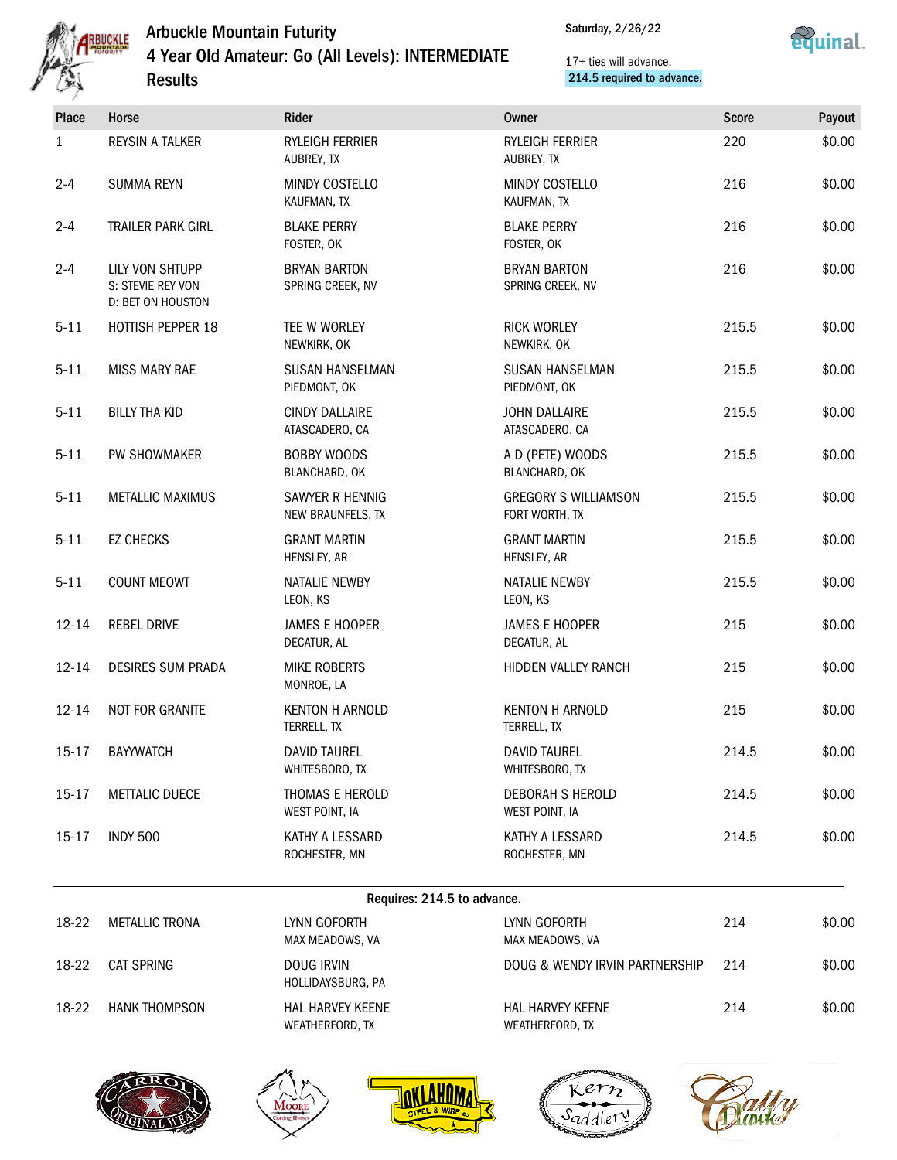

Saturday, 2/26/22



| Place     | Horse                                                            | Rider                                   | <b>Owner</b>                                  | <b>Score</b> | Payout |
|-----------|------------------------------------------------------------------|-----------------------------------------|-----------------------------------------------|--------------|--------|
| 1         | <b>REYSIN A TALKER</b>                                           | RYLEIGH FERRIER<br>AUBREY, TX           | <b>RYLEIGH FERRIER</b><br>AUBREY, TX          | 220          | \$0.00 |
| $2 - 4$   | <b>SUMMA REYN</b>                                                | MINDY COSTELLO<br>KAUFMAN, TX           | MINDY COSTELLO<br>KAUFMAN, TX                 | 216          | \$0.00 |
| $2 - 4$   | TRAILER PARK GIRL                                                | <b>BLAKE PERRY</b><br>FOSTER, OK        | <b>BLAKE PERRY</b><br>FOSTER, OK              | 216          | \$0.00 |
| $2 - 4$   | LILY VON SHTUPP<br>S: STEVIE REY VON<br><b>D: BET ON HOUSTON</b> | <b>BRYAN BARTON</b><br>SPRING CREEK, NV | <b>BRYAN BARTON</b><br>SPRING CREEK, NV       | 216          | \$0.00 |
| $5 - 11$  | <b>HOTTISH PEPPER 18</b>                                         | TEE W WORLEY<br>NEWKIRK, OK             | <b>RICK WORLEY</b><br>NEWKIRK, OK             | 215.5        | \$0.00 |
| $5 - 11$  | <b>MISS MARY RAE</b>                                             | <b>SUSAN HANSELMAN</b><br>PIEDMONT, OK  | <b>SUSAN HANSELMAN</b><br>PIEDMONT, OK        | 215.5        | \$0.00 |
| $5 - 11$  | <b>BILLY THA KID</b>                                             | <b>CINDY DALLAIRE</b><br>ATASCADERO, CA | <b>JOHN DALLAIRE</b><br>ATASCADERO, CA        | 215.5        | \$0.00 |
| $5 - 11$  | PW SHOWMAKER                                                     | <b>BOBBY WOODS</b><br>BLANCHARD, OK     | A D (PETE) WOODS<br>BLANCHARD, OK             | 215.5        | \$0.00 |
| $5 - 11$  | <b>METALLIC MAXIMUS</b>                                          | SAWYER R HENNIG<br>NEW BRAUNFELS, TX    | <b>GREGORY S WILLIAMSON</b><br>FORT WORTH, TX | 215.5        | \$0.00 |
| $5 - 11$  | <b>EZ CHECKS</b>                                                 | <b>GRANT MARTIN</b><br>HENSLEY, AR      | <b>GRANT MARTIN</b><br>HENSLEY, AR            | 215.5        | \$0.00 |
| $5 - 11$  | <b>COUNT MEOWT</b>                                               | NATALIE NEWBY<br>LEON, KS               | <b>NATALIE NEWBY</b><br>LEON, KS              | 215.5        | \$0.00 |
| $12 - 14$ | <b>REBEL DRIVE</b>                                               | <b>JAMES E HOOPER</b><br>DECATUR, AL    | <b>JAMES E HOOPER</b><br>DECATUR, AL          | 215          | \$0.00 |
| $12 - 14$ | <b>DESIRES SUM PRADA</b>                                         | <b>MIKE ROBERTS</b><br>MONROE, LA       | HIDDEN VALLEY RANCH                           | 215          | \$0.00 |
| $12 - 14$ | NOT FOR GRANITE                                                  | <b>KENTON H ARNOLD</b><br>TERRELL, TX   | <b>KENTON H ARNOLD</b><br>TERRELL, TX         | 215          | \$0.00 |
| $15 - 17$ | <b>BAYYWATCH</b>                                                 | <b>DAVID TAUREL</b><br>WHITESBORO, TX   | <b>DAVID TAUREL</b><br>WHITESBORO, TX         | 214.5        | \$0.00 |
| $15 - 17$ | METTALIC DUECE                                                   | THOMAS E HEROLD<br>WEST POINT, IA       | <b>DEBORAH S HEROLD</b><br>WEST POINT, IA     | 214.5        | \$0.00 |
| $15 - 17$ | <b>INDY 500</b>                                                  | KATHY A LESSARD<br>ROCHESTER, MN        | KATHY A LESSARD<br>ROCHESTER, MN              | 214.5        | \$0.00 |

| 18-22 | METALLIC TRONA       | LYNN GOFORTH<br>MAX MEADOWS, VA     | LYNN GOFORTH<br>MAX MEADOWS, VA            | 214 | \$0.00 |
|-------|----------------------|-------------------------------------|--------------------------------------------|-----|--------|
| 18-22 | CAT SPRING           | DOUG IRVIN<br>HOLLIDAYSBURG, PA     | DOUG & WENDY IRVIN PARTNERSHIP             | 214 | \$0.00 |
| 18-22 | <b>HANK THOMPSON</b> | HAL HARVEY KEENE<br>WEATHERFORD, TX | <b>HAL HARVEY KEENE</b><br>WEATHERFORD, TX | 214 | \$0.00 |









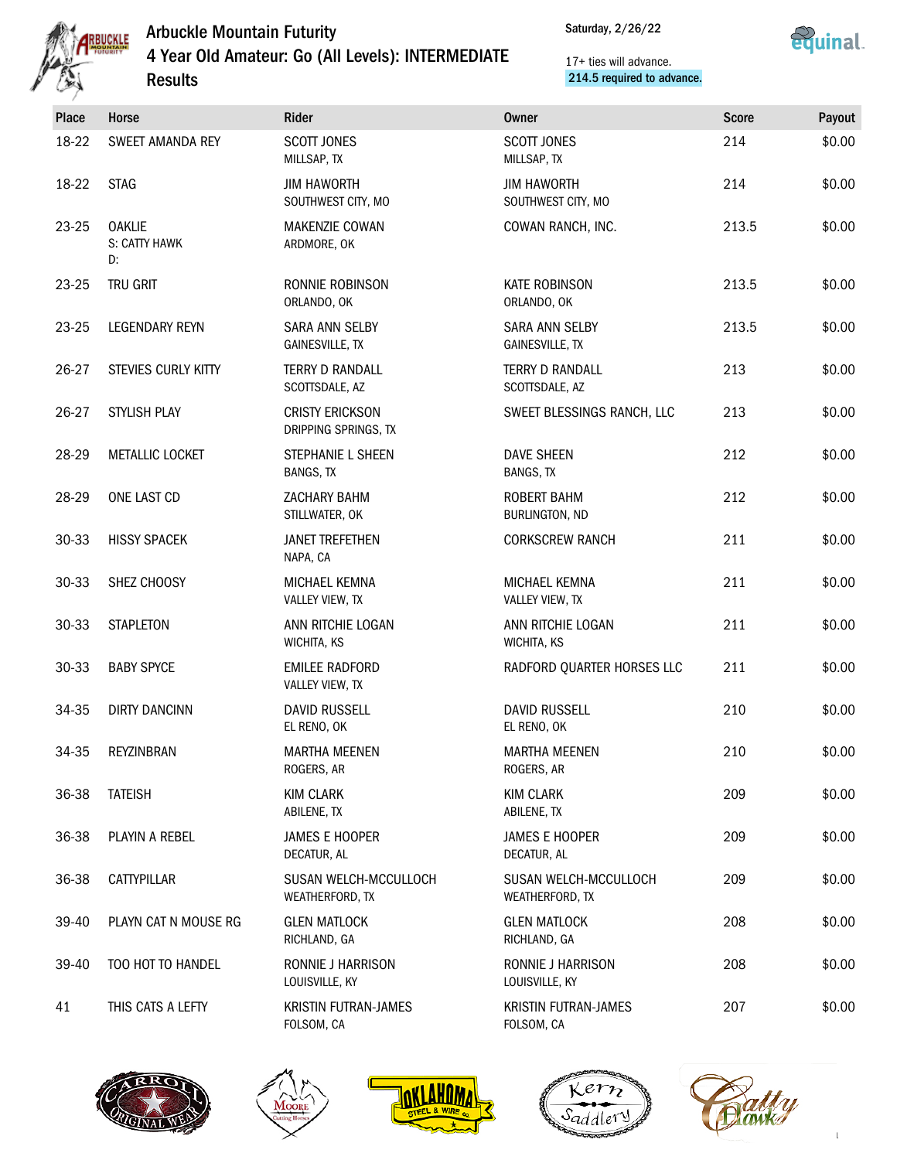

Saturday, 2/26/22



| Place | Horse                                | Rider                                           | <b>Owner</b>                                    | <b>Score</b> | Payout |
|-------|--------------------------------------|-------------------------------------------------|-------------------------------------------------|--------------|--------|
| 18-22 | SWEET AMANDA REY                     | SCOTT JONES<br>MILLSAP, TX                      | <b>SCOTT JONES</b><br>MILLSAP, TX               | 214          | \$0.00 |
| 18-22 | <b>STAG</b>                          | <b>JIM HAWORTH</b><br>SOUTHWEST CITY, MO        | <b>JIM HAWORTH</b><br>SOUTHWEST CITY, MO        | 214          | \$0.00 |
| 23-25 | <b>OAKLIE</b><br>S: CATTY HAWK<br>D: | MAKENZIE COWAN<br>ARDMORE, OK                   | COWAN RANCH, INC.                               | 213.5        | \$0.00 |
| 23-25 | TRU GRIT                             | RONNIE ROBINSON<br>ORLANDO, OK                  | <b>KATE ROBINSON</b><br>ORLANDO, OK             | 213.5        | \$0.00 |
| 23-25 | LEGENDARY REYN                       | <b>SARA ANN SELBY</b><br><b>GAINESVILLE, TX</b> | <b>SARA ANN SELBY</b><br><b>GAINESVILLE, TX</b> | 213.5        | \$0.00 |
| 26-27 | STEVIES CURLY KITTY                  | TERRY D RANDALL<br>SCOTTSDALE, AZ               | <b>TERRY D RANDALL</b><br>SCOTTSDALE, AZ        | 213          | \$0.00 |
| 26-27 | STYLISH PLAY                         | <b>CRISTY ERICKSON</b><br>DRIPPING SPRINGS, TX  | SWEET BLESSINGS RANCH, LLC                      | 213          | \$0.00 |
| 28-29 | METALLIC LOCKET                      | STEPHANIE L SHEEN<br>BANGS, TX                  | <b>DAVE SHEEN</b><br><b>BANGS, TX</b>           | 212          | \$0.00 |
| 28-29 | ONE LAST CD                          | ZACHARY BAHM<br>STILLWATER, OK                  | <b>ROBERT BAHM</b><br>BURLINGTON, ND            | 212          | \$0.00 |
| 30-33 | <b>HISSY SPACEK</b>                  | <b>JANET TREFETHEN</b><br>NAPA, CA              | <b>CORKSCREW RANCH</b>                          | 211          | \$0.00 |
| 30-33 | SHEZ CHOOSY                          | MICHAEL KEMNA<br>VALLEY VIEW, TX                | MICHAEL KEMNA<br>VALLEY VIEW, TX                | 211          | \$0.00 |
| 30-33 | <b>STAPLETON</b>                     | ANN RITCHIE LOGAN<br>WICHITA, KS                | ANN RITCHIE LOGAN<br>WICHITA, KS                | 211          | \$0.00 |
| 30-33 | <b>BABY SPYCE</b>                    | <b>EMILEE RADFORD</b><br>VALLEY VIEW, TX        | RADFORD QUARTER HORSES LLC                      | 211          | \$0.00 |
| 34-35 | <b>DIRTY DANCINN</b>                 | <b>DAVID RUSSELL</b><br>EL RENO, OK             | <b>DAVID RUSSELL</b><br>EL RENO, OK             | 210          | \$0.00 |
| 34-35 | REYZINBRAN                           | <b>MARTHA MEENEN</b><br>ROGERS, AR              | <b>MARTHA MEENEN</b><br>ROGERS, AR              | 210          | \$0.00 |
| 36-38 | <b>TATEISH</b>                       | <b>KIM CLARK</b><br>ABILENE, TX                 | <b>KIM CLARK</b><br>ABILENE, TX                 | 209          | \$0.00 |
| 36-38 | PLAYIN A REBEL                       | <b>JAMES E HOOPER</b><br>DECATUR, AL            | <b>JAMES E HOOPER</b><br>DECATUR, AL            | 209          | \$0.00 |
| 36-38 | CATTYPILLAR                          | SUSAN WELCH-MCCULLOCH<br>WEATHERFORD, TX        | SUSAN WELCH-MCCULLOCH<br>WEATHERFORD, TX        | 209          | \$0.00 |
| 39-40 | PLAYN CAT N MOUSE RG                 | <b>GLEN MATLOCK</b><br>RICHLAND, GA             | <b>GLEN MATLOCK</b><br>RICHLAND, GA             | 208          | \$0.00 |
| 39-40 | TOO HOT TO HANDEL                    | RONNIE J HARRISON<br>LOUISVILLE, KY             | RONNIE J HARRISON<br>LOUISVILLE, KY             | 208          | \$0.00 |
| 41    | THIS CATS A LEFTY                    | <b>KRISTIN FUTRAN-JAMES</b><br>FOLSOM, CA       | <b>KRISTIN FUTRAN-JAMES</b><br>FOLSOM, CA       | 207          | \$0.00 |









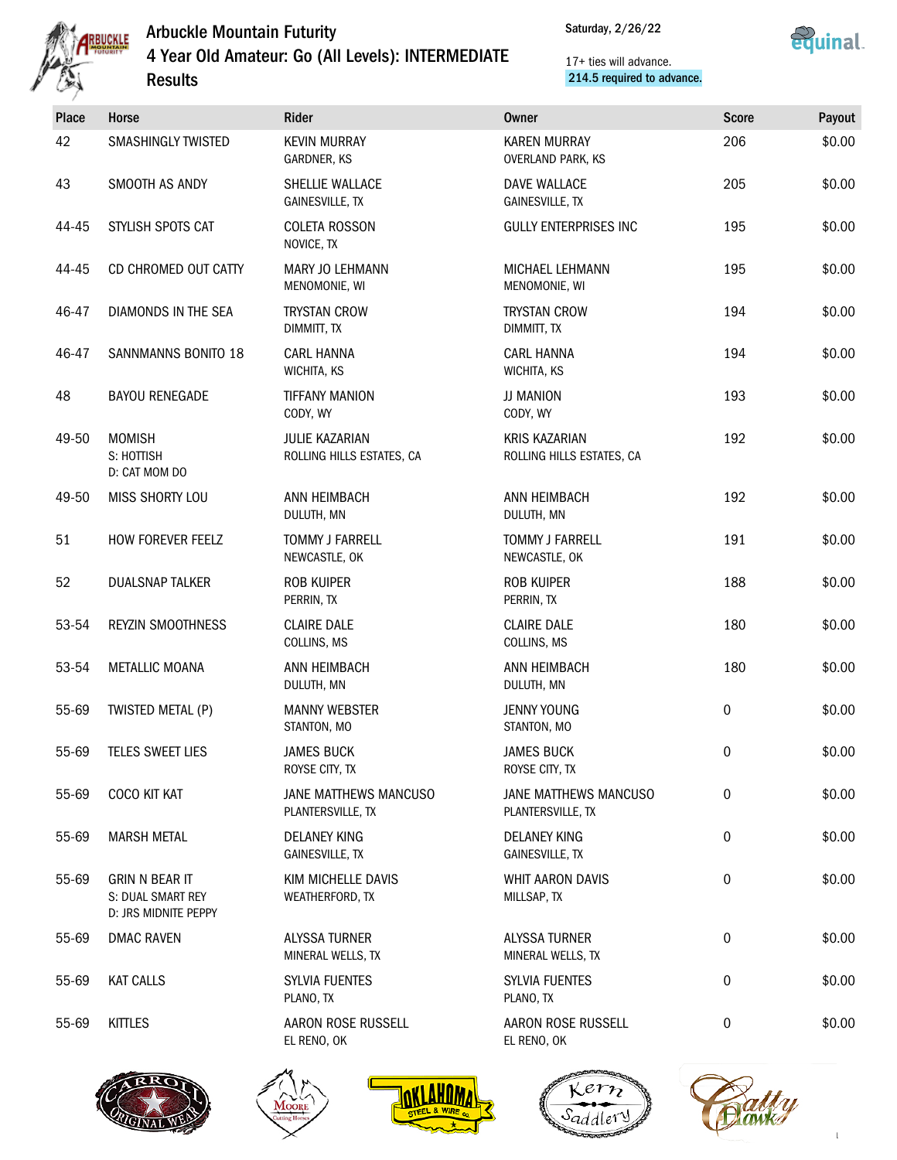

Saturday, 2/26/22



| <b>Place</b> | Horse                                                              | Rider                                         | <b>Owner</b>                                      | <b>Score</b> | Payout |
|--------------|--------------------------------------------------------------------|-----------------------------------------------|---------------------------------------------------|--------------|--------|
| 42           | <b>SMASHINGLY TWISTED</b>                                          | <b>KEVIN MURRAY</b><br>GARDNER, KS            | <b>KAREN MURRAY</b><br>OVERLAND PARK, KS          | 206          | \$0.00 |
| 43           | SMOOTH AS ANDY                                                     | SHELLIE WALLACE<br><b>GAINESVILLE, TX</b>     | DAVE WALLACE<br><b>GAINESVILLE, TX</b>            | 205          | \$0.00 |
| 44-45        | STYLISH SPOTS CAT                                                  | <b>COLETA ROSSON</b><br>NOVICE, TX            | <b>GULLY ENTERPRISES INC</b>                      | 195          | \$0.00 |
| 44-45        | CD CHROMED OUT CATTY                                               | MARY JO LEHMANN<br>MENOMONIE, WI              | MICHAEL LEHMANN<br>MENOMONIE, WI                  | 195          | \$0.00 |
| 46-47        | DIAMONDS IN THE SEA                                                | <b>TRYSTAN CROW</b><br>DIMMITT, TX            | <b>TRYSTAN CROW</b><br>DIMMITT, TX                | 194          | \$0.00 |
| 46-47        | SANNMANNS BONITO 18                                                | <b>CARL HANNA</b><br>WICHITA, KS              | <b>CARL HANNA</b><br>WICHITA, KS                  | 194          | \$0.00 |
| 48           | <b>BAYOU RENEGADE</b>                                              | <b>TIFFANY MANION</b><br>CODY, WY             | JJ MANION<br>CODY, WY                             | 193          | \$0.00 |
| 49-50        | <b>MOMISH</b><br>S: HOTTISH<br>D: CAT MOM DO                       | JULIE KAZARIAN<br>ROLLING HILLS ESTATES, CA   | <b>KRIS KAZARIAN</b><br>ROLLING HILLS ESTATES, CA | 192          | \$0.00 |
| 49-50        | MISS SHORTY LOU                                                    | ANN HEIMBACH<br>DULUTH, MN                    | ANN HEIMBACH<br>DULUTH, MN                        | 192          | \$0.00 |
| 51           | HOW FOREVER FEELZ                                                  | <b>TOMMY J FARRELL</b><br>NEWCASTLE, OK       | <b>TOMMY J FARRELL</b><br>NEWCASTLE, OK           | 191          | \$0.00 |
| 52           | <b>DUALSNAP TALKER</b>                                             | <b>ROB KUIPER</b><br>PERRIN, TX               | <b>ROB KUIPER</b><br>PERRIN, TX                   | 188          | \$0.00 |
| 53-54        | <b>REYZIN SMOOTHNESS</b>                                           | <b>CLAIRE DALE</b><br>COLLINS, MS             | <b>CLAIRE DALE</b><br>COLLINS, MS                 | 180          | \$0.00 |
| 53-54        | <b>METALLIC MOANA</b>                                              | ANN HEIMBACH<br>DULUTH, MN                    | ANN HEIMBACH<br>DULUTH, MN                        | 180          | \$0.00 |
| 55-69        | TWISTED METAL (P)                                                  | <b>MANNY WEBSTER</b><br>STANTON, MO           | <b>JENNY YOUNG</b><br>STANTON, MO                 | 0            | \$0.00 |
| 55-69        | TELES SWEET LIES                                                   | <b>JAMES BUCK</b><br>ROYSE CITY, TX           | <b>JAMES BUCK</b><br>ROYSE CITY, TX               | 0            | \$0.00 |
| 55-69        | COCO KIT KAT                                                       | JANE MATTHEWS MANCUSO<br>PLANTERSVILLE, TX    | JANE MATTHEWS MANCUSO<br>PLANTERSVILLE, TX        | 0            | \$0.00 |
| 55-69        | <b>MARSH METAL</b>                                                 | <b>DELANEY KING</b><br><b>GAINESVILLE, TX</b> | <b>DELANEY KING</b><br><b>GAINESVILLE, TX</b>     | 0            | \$0.00 |
| 55-69        | <b>GRIN N BEAR IT</b><br>S: DUAL SMART REY<br>D: JRS MIDNITE PEPPY | KIM MICHELLE DAVIS<br>WEATHERFORD, TX         | WHIT AARON DAVIS<br>MILLSAP, TX                   | 0            | \$0.00 |
| 55-69        | <b>DMAC RAVEN</b>                                                  | <b>ALYSSA TURNER</b><br>MINERAL WELLS, TX     | <b>ALYSSA TURNER</b><br>MINERAL WELLS, TX         | 0            | \$0.00 |
| 55-69        | <b>KAT CALLS</b>                                                   | SYLVIA FUENTES<br>PLANO, TX                   | SYLVIA FUENTES<br>PLANO, TX                       | 0            | \$0.00 |
| 55-69        | <b>KITTLES</b>                                                     | AARON ROSE RUSSELL<br>EL RENO, OK             | AARON ROSE RUSSELL<br>EL RENO, OK                 | 0            | \$0.00 |
|              |                                                                    |                                               |                                                   |              |        |









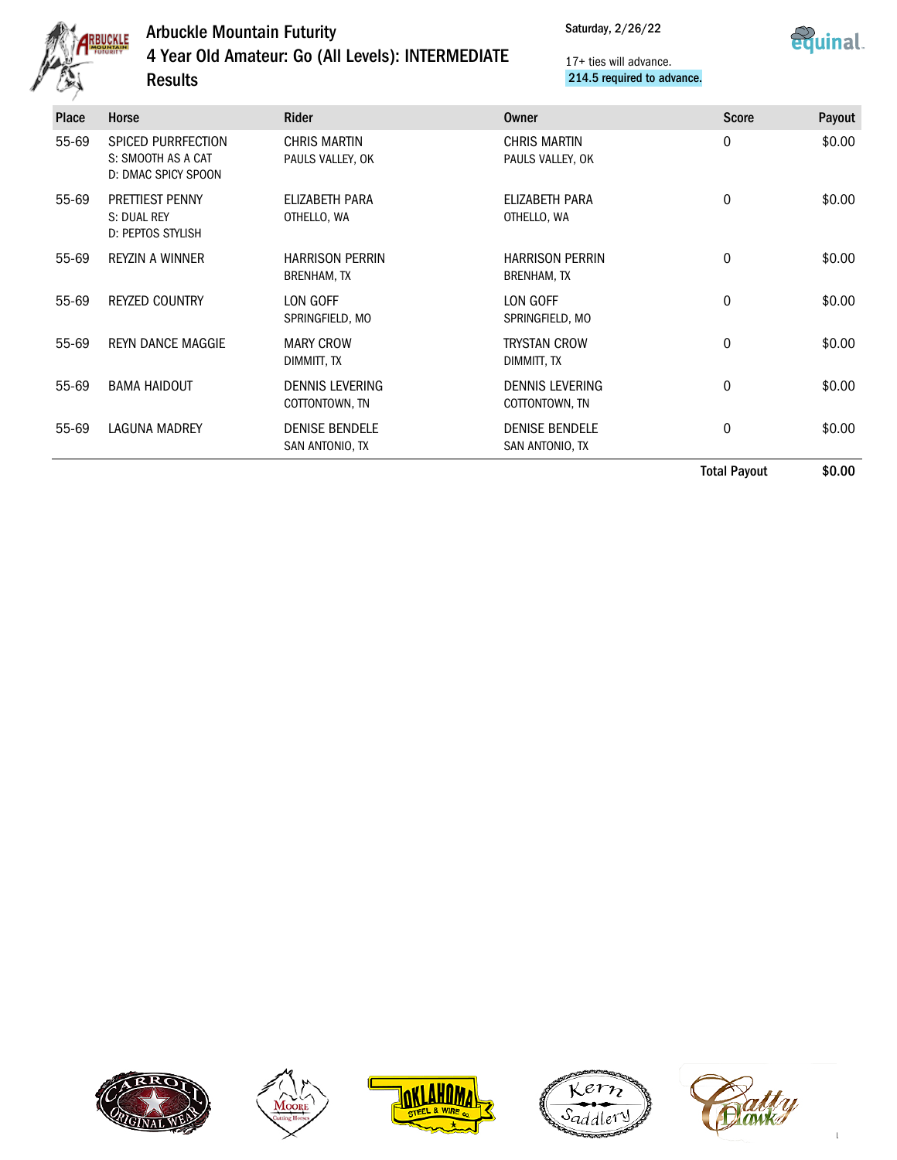

Results

# Arbuckle Mountain Futurity 4 Year Old Amateur: Go (All Levels): INTERMEDIATE

Saturday, 2/26/22



| SPICED PURRFECTION<br>55-69<br>S: SMOOTH AS A CAT<br>D: DMAC SPICY SPOON<br><b>PRETTIEST PENNY</b><br>55-69<br>S: DUAL REY<br><b>D: PEPTOS STYLISH</b><br>55-69<br><b>REYZIN A WINNER</b><br>55-69<br><b>REYZED COUNTRY</b><br>55-69<br><b>REYN DANCE MAGGIE</b><br>55-69<br><b>BAMA HAIDOUT</b><br>55-69<br><b>LAGUNA MADREY</b> |                                          |                                              | <b>Total Payout</b> | \$0.00 |
|-----------------------------------------------------------------------------------------------------------------------------------------------------------------------------------------------------------------------------------------------------------------------------------------------------------------------------------|------------------------------------------|----------------------------------------------|---------------------|--------|
|                                                                                                                                                                                                                                                                                                                                   | <b>DENISE BENDELE</b><br>SAN ANTONIO, TX | <b>DENISE BENDELE</b><br>SAN ANTONIO, TX     | $\mathbf 0$         | \$0.00 |
|                                                                                                                                                                                                                                                                                                                                   | <b>DENNIS LEVERING</b><br>COTTONTOWN, TN | <b>DENNIS LEVERING</b><br>COTTONTOWN, TN     | $\mathbf 0$         | \$0.00 |
|                                                                                                                                                                                                                                                                                                                                   | <b>MARY CROW</b><br>DIMMITT, TX          | <b>TRYSTAN CROW</b><br>DIMMITT, TX           | $\mathbf 0$         | \$0.00 |
|                                                                                                                                                                                                                                                                                                                                   | LON GOFF<br>SPRINGFIELD, MO              | LON GOFF<br>SPRINGFIELD, MO                  | $\mathbf 0$         | \$0.00 |
|                                                                                                                                                                                                                                                                                                                                   | <b>HARRISON PERRIN</b><br>BRENHAM, TX    | <b>HARRISON PERRIN</b><br><b>BRENHAM, TX</b> | $\mathbf 0$         | \$0.00 |
|                                                                                                                                                                                                                                                                                                                                   | ELIZABETH PARA<br>OTHELLO, WA            | ELIZABETH PARA<br>OTHELLO, WA                | $\mathbf 0$         | \$0.00 |
|                                                                                                                                                                                                                                                                                                                                   | <b>CHRIS MARTIN</b><br>PAULS VALLEY, OK  | <b>CHRIS MARTIN</b><br>PAULS VALLEY, OK      | $\mathbf 0$         | \$0.00 |
| <b>Horse</b><br>Place                                                                                                                                                                                                                                                                                                             | <b>Rider</b>                             | Owner                                        | <b>Score</b>        | Payout |









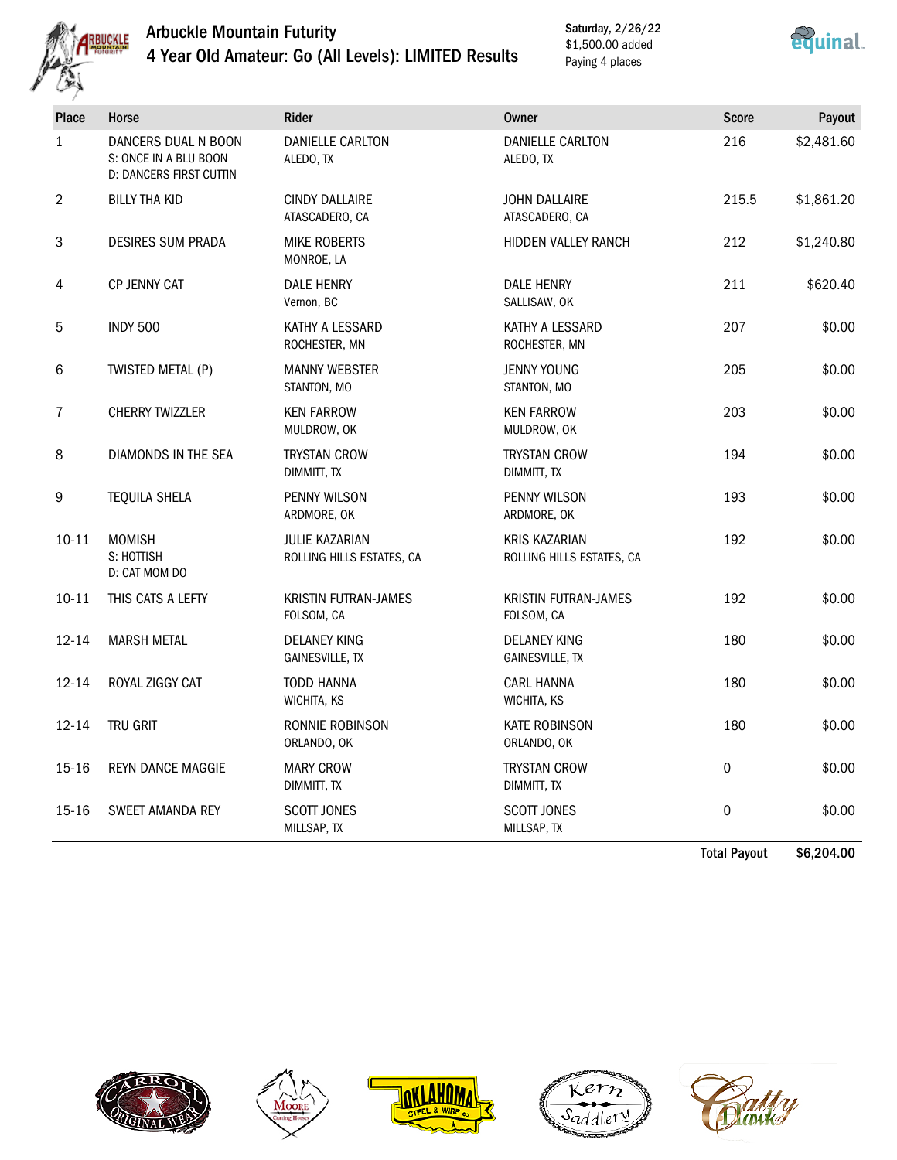

Saturday, 2/26/22 \$1,500.00 added Paying 4 places



| Place            | Horse                                                                          | <b>Rider</b>                                  | Owner                                             | <b>Score</b>     | Payout     |
|------------------|--------------------------------------------------------------------------------|-----------------------------------------------|---------------------------------------------------|------------------|------------|
| $\mathbf{1}$     | DANCERS DUAL N BOON<br>S: ONCE IN A BLU BOON<br><b>D: DANCERS FIRST CUTTIN</b> | <b>DANIELLE CARLTON</b><br>ALEDO, TX          | <b>DANIELLE CARLTON</b><br>ALEDO, TX              | 216              | \$2,481.60 |
| $\overline{2}$   | BILLY THA KID                                                                  | <b>CINDY DALLAIRE</b><br>ATASCADERO, CA       | <b>JOHN DALLAIRE</b><br>ATASCADERO, CA            | 215.5            | \$1,861.20 |
| $\mathbf{3}$     | <b>DESIRES SUM PRADA</b>                                                       | <b>MIKE ROBERTS</b><br>MONROE, LA             | HIDDEN VALLEY RANCH                               | 212              | \$1,240.80 |
| $\overline{4}$   | <b>CP JENNY CAT</b>                                                            | <b>DALE HENRY</b><br>Vernon, BC               | <b>DALE HENRY</b><br>SALLISAW, OK                 | 211              | \$620.40   |
| 5                | <b>INDY 500</b>                                                                | KATHY A LESSARD<br>ROCHESTER, MN              | KATHY A LESSARD<br>ROCHESTER, MN                  | 207              | \$0.00     |
| 6                | TWISTED METAL (P)                                                              | <b>MANNY WEBSTER</b><br>STANTON, MO           | <b>JENNY YOUNG</b><br>STANTON, MO                 | 205              | \$0.00     |
| $\overline{1}$   | <b>CHERRY TWIZZLER</b>                                                         | <b>KEN FARROW</b><br>MULDROW, OK              | <b>KEN FARROW</b><br>MULDROW, OK                  | 203              | \$0.00     |
| $\,8\,$          | DIAMONDS IN THE SEA                                                            | <b>TRYSTAN CROW</b><br>DIMMITT, TX            | <b>TRYSTAN CROW</b><br>DIMMITT, TX                | 194              | \$0.00     |
| $\boldsymbol{9}$ | <b>TEQUILA SHELA</b>                                                           | PENNY WILSON<br>ARDMORE, OK                   | PENNY WILSON<br>ARDMORE, OK                       | 193              | \$0.00     |
| $10 - 11$        | <b>MOMISH</b><br>S: HOTTISH<br>D: CAT MOM DO                                   | JULIE KAZARIAN<br>ROLLING HILLS ESTATES, CA   | <b>KRIS KAZARIAN</b><br>ROLLING HILLS ESTATES, CA | 192              | \$0.00     |
| $10 - 11$        | THIS CATS A LEFTY                                                              | <b>KRISTIN FUTRAN-JAMES</b><br>FOLSOM, CA     | <b>KRISTIN FUTRAN-JAMES</b><br>FOLSOM, CA         | 192              | \$0.00     |
| $12 - 14$        | <b>MARSH METAL</b>                                                             | <b>DELANEY KING</b><br><b>GAINESVILLE, TX</b> | <b>DELANEY KING</b><br>GAINESVILLE, TX            | 180              | \$0.00     |
| $12 - 14$        | ROYAL ZIGGY CAT                                                                | <b>TODD HANNA</b><br>WICHITA, KS              | <b>CARL HANNA</b><br>WICHITA, KS                  | 180              | \$0.00     |
| $12 - 14$        | TRU GRIT                                                                       | RONNIE ROBINSON<br>ORLANDO, OK                | KATE ROBINSON<br>ORLANDO, OK                      | 180              | \$0.00     |
| $15 - 16$        | <b>REYN DANCE MAGGIE</b>                                                       | <b>MARY CROW</b><br>DIMMITT, TX               | <b>TRYSTAN CROW</b><br>DIMMITT, TX                | $\boldsymbol{0}$ | \$0.00     |
| $15 - 16$        | SWEET AMANDA REY                                                               | <b>SCOTT JONES</b><br>MILLSAP, TX             | <b>SCOTT JONES</b><br>MILLSAP, TX                 | $\pmb{0}$        | \$0.00     |

Total Payout \$6,204.00









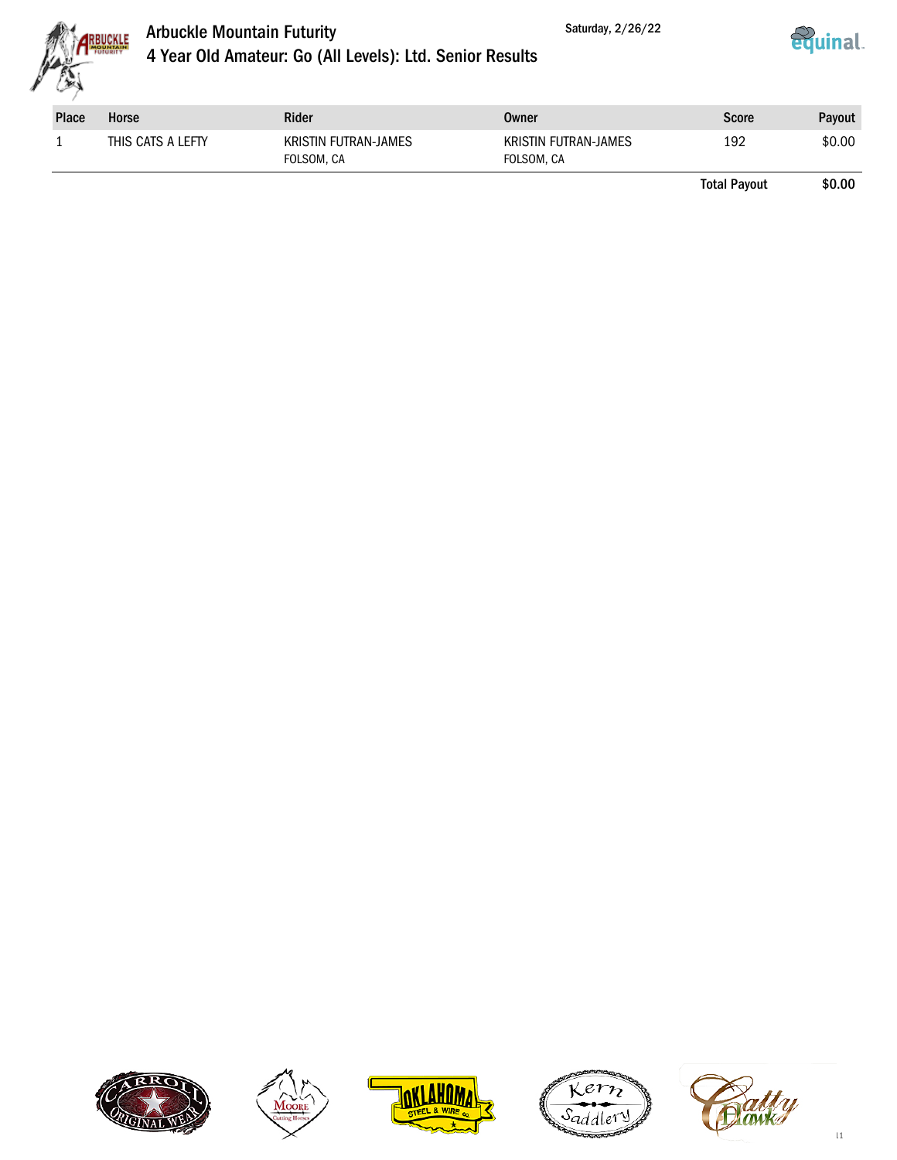



# Arbuckle Mountain Futurity 4 Year Old Amateur: Go (All Levels): Ltd. Senior Results

| <b>Place</b> | Horse             | <b>Rider</b>                       | Owner                              | <b>Score</b> | Payout |
|--------------|-------------------|------------------------------------|------------------------------------|--------------|--------|
|              | THIS CATS A LEFTY | KRISTIN FUTRAN-JAMES<br>FOLSOM, CA | KRISTIN FUTRAN-JAMES<br>FOLSOM, CA | 192          | \$0.00 |

Total Payout \$0.00

<u>equinal</u>